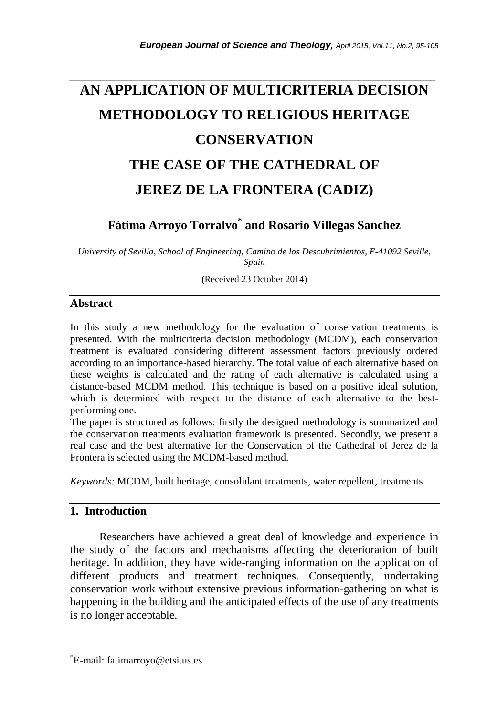# **AN APPLICATION OF MULTICRITERIA DECISION METHODOLOGY TO RELIGIOUS HERITAGE CONSERVATION THE CASE OF THE CATHEDRAL OF JEREZ DE LA FRONTERA (CADIZ)**

*\_\_\_\_\_\_\_\_\_\_\_\_\_\_\_\_\_\_\_\_\_\_\_\_\_\_\_\_\_\_\_\_\_\_\_\_\_\_\_\_\_\_\_\_\_\_\_\_\_\_\_\_\_\_\_\_\_\_\_\_\_\_\_\_\_\_\_\_\_\_\_*

**Fátima Arroyo Torralvo\* and Rosario Villegas Sanchez**

*University of Sevilla, School of Engineering, Camino de los Descubrimientos, E-41092 Seville, Spain*

(Received 23 October 2014)

#### **Abstract**

In this study a new methodology for the evaluation of conservation treatments is presented. With the multicriteria decision methodology (MCDM), each conservation treatment is evaluated considering different assessment factors previously ordered according to an importance-based hierarchy. The total value of each alternative based on these weights is calculated and the rating of each alternative is calculated using a distance-based MCDM method. This technique is based on a positive ideal solution, which is determined with respect to the distance of each alternative to the bestperforming one.

The paper is structured as follows: firstly the designed methodology is summarized and the conservation treatments evaluation framework is presented. Secondly, we present a real case and the best alternative for the Conservation of the Cathedral of Jerez de la Frontera is selected using the MCDM-based method.

*Keywords:* MCDM, built heritage, consolidant treatments, water repellent, treatments

## **1. Introduction**

l

Researchers have achieved a great deal of knowledge and experience in the study of the factors and mechanisms affecting the deterioration of built heritage. In addition, they have wide-ranging information on the application of different products and treatment techniques. Consequently, undertaking conservation work without extensive previous information-gathering on what is happening in the building and the anticipated effects of the use of any treatments is no longer acceptable.

<sup>\*</sup>E-mail: fatimarroyo@etsi.us.es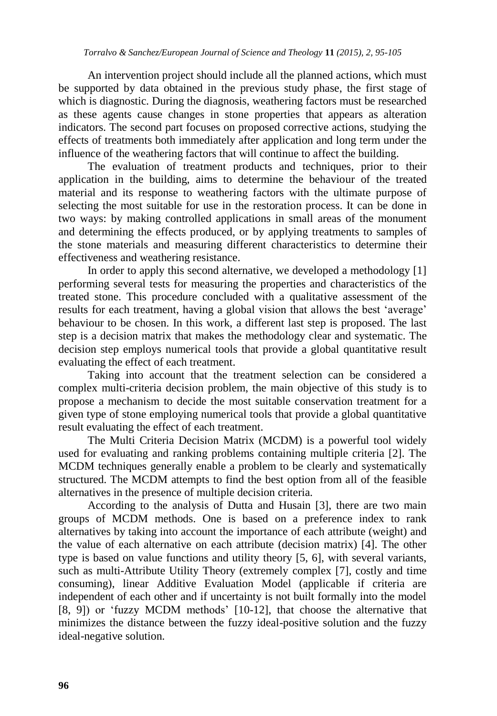An intervention project should include all the planned actions, which must be supported by data obtained in the previous study phase, the first stage of which is diagnostic. During the diagnosis, weathering factors must be researched as these agents cause changes in stone properties that appears as alteration indicators. The second part focuses on proposed corrective actions, studying the effects of treatments both immediately after application and long term under the influence of the weathering factors that will continue to affect the building.

The evaluation of treatment products and techniques, prior to their application in the building, aims to determine the behaviour of the treated material and its response to weathering factors with the ultimate purpose of selecting the most suitable for use in the restoration process. It can be done in two ways: by making controlled applications in small areas of the monument and determining the effects produced, or by applying treatments to samples of the stone materials and measuring different characteristics to determine their effectiveness and weathering resistance.

In order to apply this second alternative, we developed a methodology [1] performing several tests for measuring the properties and characteristics of the treated stone. This procedure concluded with a qualitative assessment of the results for each treatment, having a global vision that allows the best 'average' behaviour to be chosen. In this work, a different last step is proposed. The last step is a decision matrix that makes the methodology clear and systematic. The decision step employs numerical tools that provide a global quantitative result evaluating the effect of each treatment.

Taking into account that the treatment selection can be considered a complex multi-criteria decision problem, the main objective of this study is to propose a mechanism to decide the most suitable conservation treatment for a given type of stone employing numerical tools that provide a global quantitative result evaluating the effect of each treatment.

The Multi Criteria Decision Matrix (MCDM) is a powerful tool widely used for evaluating and ranking problems containing multiple criteria [2]. The MCDM techniques generally enable a problem to be clearly and systematically structured. The MCDM attempts to find the best option from all of the feasible alternatives in the presence of multiple decision criteria.

According to the analysis of Dutta and Husain [3], there are two main groups of MCDM methods. One is based on a preference index to rank alternatives by taking into account the importance of each attribute (weight) and the value of each alternative on each attribute (decision matrix) [4]. The other type is based on value functions and utility theory [5, 6], with several variants, such as multi-Attribute Utility Theory (extremely complex [7], costly and time consuming), linear Additive Evaluation Model (applicable if criteria are independent of each other and if uncertainty is not built formally into the model [8, 9]) or 'fuzzy MCDM methods' [10-12], that choose the alternative that minimizes the distance between the fuzzy ideal-positive solution and the fuzzy ideal-negative solution.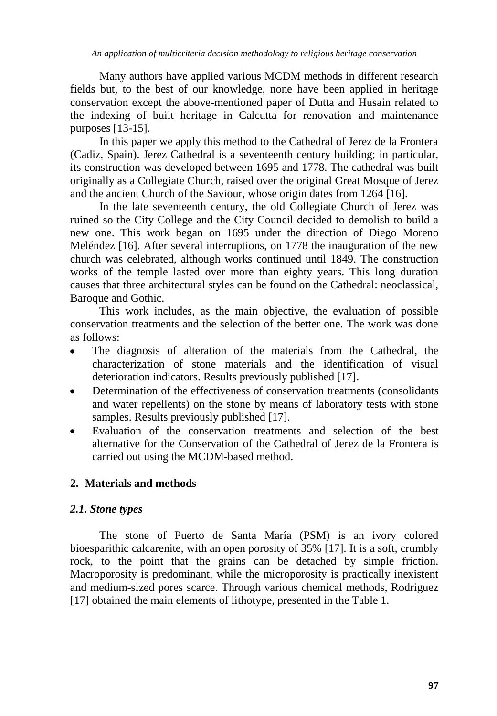Many authors have applied various MCDM methods in different research fields but, to the best of our knowledge, none have been applied in heritage conservation except the above-mentioned paper of Dutta and Husain related to the indexing of built heritage in Calcutta for renovation and maintenance purposes [13-15].

In this paper we apply this method to the Cathedral of Jerez de la Frontera (Cadiz, Spain). Jerez Cathedral is a seventeenth century building; in particular, its construction was developed between 1695 and 1778. The cathedral was built originally as a Collegiate Church, raised over the original Great Mosque of Jerez and the ancient Church of the Saviour, whose origin dates from 1264 [16].

In the late seventeenth century, the old Collegiate Church of Jerez was ruined so the City College and the City Council decided to demolish to build a new one. This work began on 1695 under the direction of Diego Moreno Meléndez [16]. After several interruptions, on 1778 the inauguration of the new church was celebrated, although works continued until 1849. The construction works of the temple lasted over more than eighty years. This long duration causes that three architectural styles can be found on the Cathedral: neoclassical, Baroque and Gothic.

This work includes, as the main objective, the evaluation of possible conservation treatments and the selection of the better one. The work was done as follows:

- The diagnosis of alteration of the materials from the Cathedral, the  $\bullet$ characterization of stone materials and the identification of visual deterioration indicators. Results previously published [17].
- Determination of the effectiveness of conservation treatments (consolidants  $\bullet$ and water repellents) on the stone by means of laboratory tests with stone samples. Results previously published [17].
- Evaluation of the conservation treatments and selection of the best alternative for the Conservation of the Cathedral of Jerez de la Frontera is carried out using the MCDM-based method.

# **2. Materials and methods**

# *2.1. Stone types*

The stone of Puerto de Santa María (PSM) is an ivory colored bioesparithic calcarenite, with an open porosity of 35% [17]. It is a soft, crumbly rock, to the point that the grains can be detached by simple friction. Macroporosity is predominant, while the microporosity is practically inexistent and medium-sized pores scarce. Through various chemical methods, Rodriguez [17] obtained the main elements of lithotype, presented in the Table 1.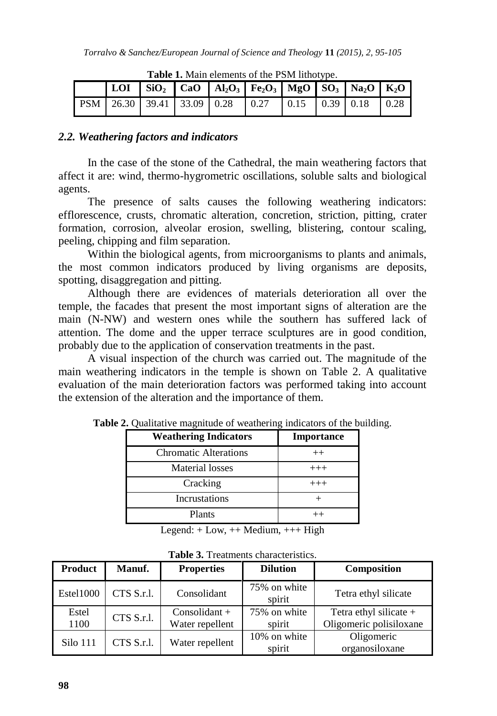|  |  | $\vert$ LOI $\vert$ SiO <sub>2</sub> $\vert$ CaO $\vert$ Al <sub>2</sub> O <sub>3</sub> $\vert$ Fe <sub>2</sub> O <sub>3</sub> $\vert$ MgO $\vert$ SO <sub>3</sub> $\vert$ Na <sub>2</sub> O $\vert$ K <sub>2</sub> O |  |  |
|--|--|-----------------------------------------------------------------------------------------------------------------------------------------------------------------------------------------------------------------------|--|--|
|  |  | $\vert$ PSM $\vert$ 26.30 $\vert$ 39.41 $\vert$ 33.09 $\vert$ 0.28 $\vert$ 0.27 $\vert$ 0.15 $\vert$ 0.39 $\vert$ 0.18 $\vert$ 0.28                                                                                   |  |  |

**Table 1.** Main elements of the PSM lithotype.

## *2.2. Weathering factors and indicators*

In the case of the stone of the Cathedral, the main weathering factors that affect it are: wind, thermo-hygrometric oscillations, soluble salts and biological agents.

The presence of salts causes the following weathering indicators: efflorescence, crusts, chromatic alteration, concretion, striction, pitting, crater formation, corrosion, alveolar erosion, swelling, blistering, contour scaling, peeling, chipping and film separation.

Within the biological agents, from microorganisms to plants and animals, the most common indicators produced by living organisms are deposits, spotting, disaggregation and pitting.

Although there are evidences of materials deterioration all over the temple, the facades that present the most important signs of alteration are the main (N-NW) and western ones while the southern has suffered lack of attention. The dome and the upper terrace sculptures are in good condition, probably due to the application of conservation treatments in the past.

A visual inspection of the church was carried out. The magnitude of the main weathering indicators in the temple is shown on Table 2. A qualitative evaluation of the main deterioration factors was performed taking into account the extension of the alteration and the importance of them.

| <b>Weathering Indicators</b> | Importance |
|------------------------------|------------|
| <b>Chromatic Alterations</b> | $++$       |
| Material losses              | $+++$      |
| Cracking                     | $+++$      |
| Incrustations                |            |
| Plants                       |            |

**Table 2.** Qualitative magnitude of weathering indicators of the building.

Legend:  $+$  Low,  $++$  Medium,  $++$  High

| <b>Product</b> | <b>Manuf.</b> | <b>Properties</b>                  | <b>Dilution</b>        | <b>Composition</b>                                  |
|----------------|---------------|------------------------------------|------------------------|-----------------------------------------------------|
| Estel1000      | CTS S.r.l.    | Consolidant                        | 75% on white<br>spirit | Tetra ethyl silicate                                |
| Estel<br>1100  | CTS S.r.l.    | $Consolidant +$<br>Water repellent | 75% on white<br>spirit | Tetra ethyl silicate $+$<br>Oligomeric polisiloxane |
| Silo 111       | CTS S.r.l.    | Water repellent                    | 10% on white<br>spirit | Oligomeric<br>organosiloxane                        |

**Table 3.** Treatments characteristics.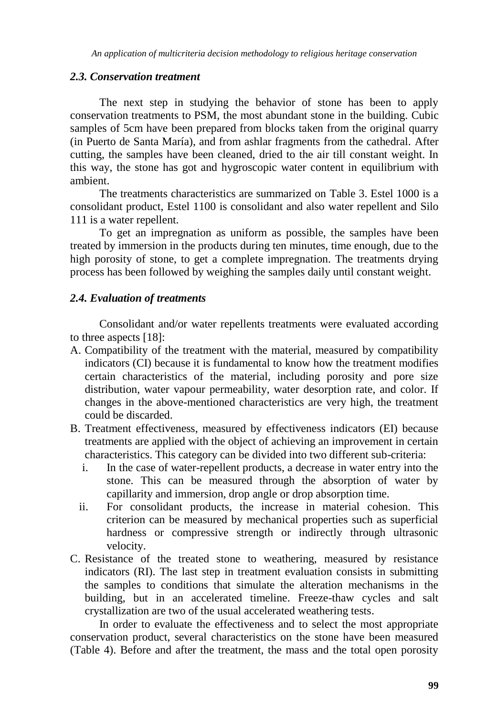## *2.3. Conservation treatment*

The next step in studying the behavior of stone has been to apply conservation treatments to PSM, the most abundant stone in the building. Cubic samples of 5cm have been prepared from blocks taken from the original quarry (in Puerto de Santa María), and from ashlar fragments from the cathedral. After cutting, the samples have been cleaned, dried to the air till constant weight. In this way, the stone has got and hygroscopic water content in equilibrium with ambient.

The treatments characteristics are summarized on Table 3. Estel 1000 is a consolidant product, Estel 1100 is consolidant and also water repellent and Silo 111 is a water repellent.

To get an impregnation as uniform as possible, the samples have been treated by immersion in the products during ten minutes, time enough, due to the high porosity of stone, to get a complete impregnation. The treatments drying process has been followed by weighing the samples daily until constant weight.

## *2.4. Evaluation of treatments*

Consolidant and/or water repellents treatments were evaluated according to three aspects [18]:

- A. Compatibility of the treatment with the material, measured by compatibility indicators (CI) because it is fundamental to know how the treatment modifies certain characteristics of the material, including porosity and pore size distribution, water vapour permeability, water desorption rate, and color. If changes in the above-mentioned characteristics are very high, the treatment could be discarded.
- B. Treatment effectiveness, measured by effectiveness indicators (EI) because treatments are applied with the object of achieving an improvement in certain characteristics. This category can be divided into two different sub-criteria:
	- i. In the case of water-repellent products, a decrease in water entry into the stone. This can be measured through the absorption of water by capillarity and immersion, drop angle or drop absorption time.
	- ii. For consolidant products, the increase in material cohesion. This criterion can be measured by mechanical properties such as superficial hardness or compressive strength or indirectly through ultrasonic velocity.
- C. Resistance of the treated stone to weathering, measured by resistance indicators (RI). The last step in treatment evaluation consists in submitting the samples to conditions that simulate the alteration mechanisms in the building, but in an accelerated timeline. Freeze-thaw cycles and salt crystallization are two of the usual accelerated weathering tests.

In order to evaluate the effectiveness and to select the most appropriate conservation product, several characteristics on the stone have been measured (Table 4). Before and after the treatment, the mass and the total open porosity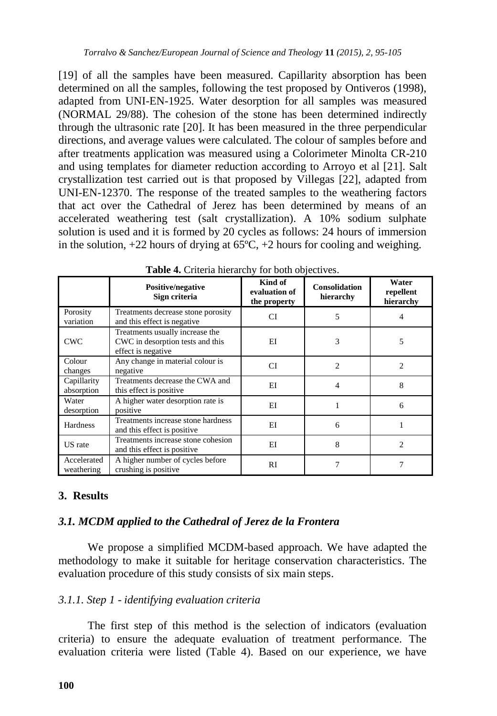[19] of all the samples have been measured. Capillarity absorption has been determined on all the samples, following the test proposed by Ontiveros (1998), adapted from UNI-EN-1925. Water desorption for all samples was measured (NORMAL 29/88). The cohesion of the stone has been determined indirectly through the ultrasonic rate [20]. It has been measured in the three perpendicular directions, and average values were calculated. The colour of samples before and after treatments application was measured using a Colorimeter Minolta CR-210 and using templates for diameter reduction according to Arroyo et al [21]. Salt crystallization test carried out is that proposed by Villegas [22], adapted from UNI-EN-12370. The response of the treated samples to the weathering factors that act over the Cathedral of Jerez has been determined by means of an accelerated weathering test (salt crystallization). A 10% sodium sulphate solution is used and it is formed by 20 cycles as follows: 24 hours of immersion in the solution,  $+22$  hours of drying at  $65^{\circ}$ C,  $+2$  hours for cooling and weighing.

|                           | <b>Positive/negative</b><br>Sign criteria                                                 | Kind of<br>evaluation of<br>the property | <b>Consolidation</b><br>hierarchy | Water<br>repellent<br>hierarchy |
|---------------------------|-------------------------------------------------------------------------------------------|------------------------------------------|-----------------------------------|---------------------------------|
| Porosity<br>variation     | Treatments decrease stone porosity<br>and this effect is negative.                        | CI                                       | 5                                 |                                 |
| <b>CWC</b>                | Treatments usually increase the<br>CWC in desorption tests and this<br>effect is negative | EI                                       | 3                                 | 5                               |
| Colour<br>changes         | Any change in material colour is<br>negative                                              | CI                                       | $\overline{c}$                    | $\overline{c}$                  |
| Capillarity<br>absorption | Treatments decrease the CWA and<br>this effect is positive.                               | EI                                       | 4                                 | 8                               |
| Water<br>desorption       | A higher water desorption rate is<br>positive                                             | EI                                       |                                   | 6                               |
| Hardness                  | Treatments increase stone hardness<br>and this effect is positive                         | EI                                       | 6                                 |                                 |
| US rate                   | Treatments increase stone cohesion<br>and this effect is positive                         | EI                                       | 8                                 | $\overline{c}$                  |
| Accelerated<br>weathering | A higher number of cycles before<br>crushing is positive                                  | RI                                       |                                   |                                 |

|  |  |  |  | Table 4. Criteria hierarchy for both objectives. |
|--|--|--|--|--------------------------------------------------|
|--|--|--|--|--------------------------------------------------|

# **3. Results**

## *3.1. MCDM applied to the Cathedral of Jerez de la Frontera*

We propose a simplified MCDM-based approach. We have adapted the methodology to make it suitable for heritage conservation characteristics. The evaluation procedure of this study consists of six main steps.

## *3.1.1. Step 1* - *identifying evaluation criteria*

The first step of this method is the selection of indicators (evaluation criteria) to ensure the adequate evaluation of treatment performance. The evaluation criteria were listed (Table 4). Based on our experience, we have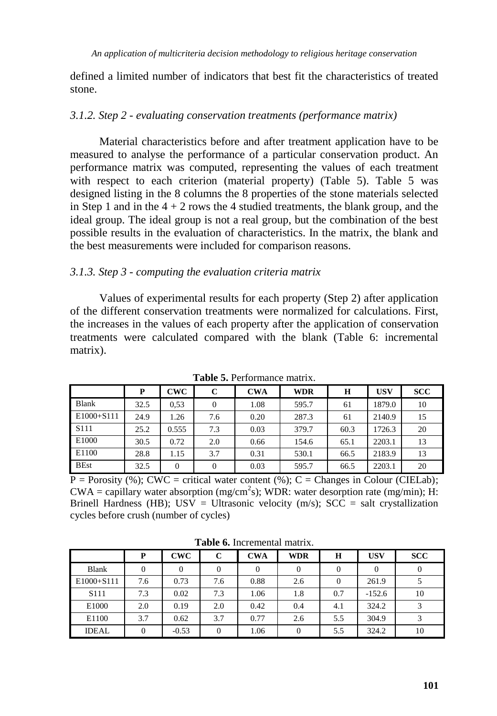defined a limited number of indicators that best fit the characteristics of treated stone.

#### *3.1.2. Step 2 - evaluating conservation treatments (performance matrix)*

Material characteristics before and after treatment application have to be measured to analyse the performance of a particular conservation product. An performance matrix was computed, representing the values of each treatment with respect to each criterion (material property) (Table 5). Table 5 was designed listing in the 8 columns the 8 properties of the stone materials selected in Step 1 and in the  $4 + 2$  rows the 4 studied treatments, the blank group, and the ideal group. The ideal group is not a real group, but the combination of the best possible results in the evaluation of characteristics. In the matrix, the blank and the best measurements were included for comparison reasons.

#### *3.1.3. Step 3 - computing the evaluation criteria matrix*

Values of experimental results for each property (Step 2) after application of the different conservation treatments were normalized for calculations. First, the increases in the values of each property after the application of conservation treatments were calculated compared with the blank (Table 6: incremental matrix).

|                  | P    | CWC   | С   | <b>CWA</b> | <b>WDR</b> | H    | <b>USV</b> | <b>SCC</b> |
|------------------|------|-------|-----|------------|------------|------|------------|------------|
| Blank            | 32.5 | 0.53  |     | 1.08       | 595.7      | 61   | 1879.0     | 10         |
| $E1000 + S111$   | 24.9 | 1.26  | 7.6 | 0.20       | 287.3      | 61   | 2140.9     | 15         |
| S <sub>111</sub> | 25.2 | 0.555 | 7.3 | 0.03       | 379.7      | 60.3 | 1726.3     | 20         |
| E1000            | 30.5 | 0.72  | 2.0 | 0.66       | 154.6      | 65.1 | 2203.1     | 13         |
| E1100            | 28.8 | 1.15  | 3.7 | 0.31       | 530.1      | 66.5 | 2183.9     | 13         |
| <b>BEst</b>      | 32.5 | 0     |     | 0.03       | 595.7      | 66.5 | 2203.1     | 20         |

**Table 5.** Performance matrix.

 $\overline{P}$  = Porosity (%); CWC = critical water content (%); C = Changes in Colour (CIELab);  $CWA = capillary water absorption (mg/cm<sup>2</sup>s); WDR: water desorption rate (mg/min); H:$ Brinell Hardness (HB); USV = Ultrasonic velocity (m/s); SCC = salt crystallization cycles before crush (number of cycles)

|                  | P              | <b>CWC</b> | C        | <b>CWA</b> | <b>WDR</b> | H            | <b>USV</b> | <b>SCC</b> |
|------------------|----------------|------------|----------|------------|------------|--------------|------------|------------|
| <b>Blank</b>     | $\overline{0}$ | 0          | $\Omega$ | 0          | 0          | $\mathbf{0}$ |            |            |
| E1000+S111       | 7.6            | 0.73       | 7.6      | 0.88       | 2.6        | 0            | 261.9      |            |
| S <sub>111</sub> | 7.3            | 0.02       | 7.3      | 1.06       | 1.8        | 0.7          | $-152.6$   | 10         |
| E1000            | 2.0            | 0.19       | 2.0      | 0.42       | 0.4        | 4.1          | 324.2      |            |
| E1100            | 3.7            | 0.62       | 3.7      | 0.77       | 2.6        | 5.5          | 304.9      | 3          |
| <b>IDEAL</b>     | $\overline{0}$ | $-0.53$    | $\Omega$ | 1.06       | $\Omega$   | 5.5          | 324.2      | 10         |

**Table 6.** Incremental matrix.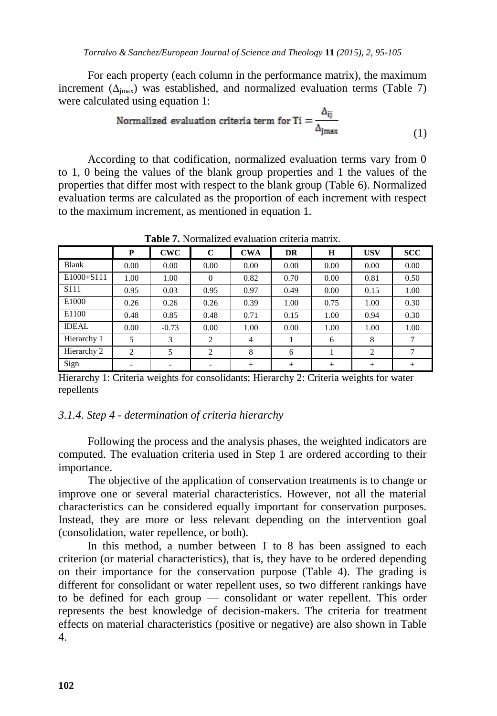For each property (each column in the performance matrix), the maximum increment  $(\Delta_{\text{imax}})$  was established, and normalized evaluation terms (Table 7) were calculated using equation 1:

Normalized evaluation criteria term for Ti = 
$$
\frac{\Delta_{ij}}{\Delta_{jmax}}
$$
 (1)

According to that codification, normalized evaluation terms vary from 0 to 1, 0 being the values of the blank group properties and 1 the values of the properties that differ most with respect to the blank group (Table 6). Normalized evaluation terms are calculated as the proportion of each increment with respect to the maximum increment, as mentioned in equation 1.

|                  | P    | <b>CWC</b> | $\mathbf{C}$   | <b>CWA</b>     | <b>DR</b> | H    | <b>USV</b> | <b>SCC</b> |
|------------------|------|------------|----------------|----------------|-----------|------|------------|------------|
| Blank            | 0.00 | 0.00       | 0.00           | 0.00           | 0.00      | 0.00 | 0.00       | 0.00       |
| E1000+S111       | 1.00 | 1.00       | $\Omega$       | 0.82           | 0.70      | 0.00 | 0.81       | 0.50       |
| S <sub>111</sub> | 0.95 | 0.03       | 0.95           | 0.97           | 0.49      | 0.00 | 0.15       | 1.00       |
| E1000            | 0.26 | 0.26       | 0.26           | 0.39           | 1.00      | 0.75 | 1.00       | 0.30       |
| E1100            | 0.48 | 0.85       | 0.48           | 0.71           | 0.15      | 1.00 | 0.94       | 0.30       |
| <b>IDEAL</b>     | 0.00 | $-0.73$    | 0.00           | 1.00           | 0.00      | 1.00 | 1.00       | 1.00       |
| Hierarchy 1      | 5    | 3          | $\overline{2}$ | $\overline{4}$ |           | 6    | 8          |            |
| Hierarchy 2      | 2    | 5          | $\overline{2}$ | 8              | 6         |      | 2          |            |
| Sign             |      | ۰          | ۰              | $+$            | $+$       | $+$  | $+$        | $^{+}$     |

**Table 7.** Normalized evaluation criteria matrix.

Hierarchy 1: Criteria weights for consolidants; Hierarchy 2: Criteria weights for water repellents

## *3.1.4. Step 4 - determination of criteria hierarchy*

Following the process and the analysis phases, the weighted indicators are computed. The evaluation criteria used in Step 1 are ordered according to their importance.

The objective of the application of conservation treatments is to change or improve one or several material characteristics. However, not all the material characteristics can be considered equally important for conservation purposes. Instead, they are more or less relevant depending on the intervention goal (consolidation, water repellence, or both).

In this method, a number between 1 to 8 has been assigned to each criterion (or material characteristics), that is, they have to be ordered depending on their importance for the conservation purpose (Table 4). The grading is different for consolidant or water repellent uses, so two different rankings have to be defined for each group — consolidant or water repellent. This order represents the best knowledge of decision-makers. The criteria for treatment effects on material characteristics (positive or negative) are also shown in Table 4.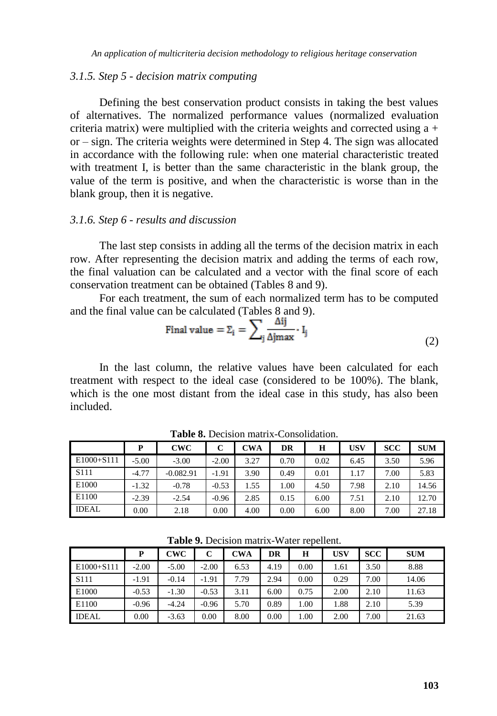#### *3.1.5. Step 5 - decision matrix computing*

Defining the best conservation product consists in taking the best values of alternatives. The normalized performance values (normalized evaluation criteria matrix) were multiplied with the criteria weights and corrected using  $a +$ or – sign. The criteria weights were determined in Step 4. The sign was allocated in accordance with the following rule: when one material characteristic treated with treatment I, is better than the same characteristic in the blank group, the value of the term is positive, and when the characteristic is worse than in the blank group, then it is negative.

#### *3.1.6. Step 6 - results and discussion*

The last step consists in adding all the terms of the decision matrix in each row. After representing the decision matrix and adding the terms of each row, the final valuation can be calculated and a vector with the final score of each conservation treatment can be obtained (Tables 8 and 9).

For each treatment, the sum of each normalized term has to be computed and the final value can be calculated (Tables 8 and 9).

$$
\text{Final value} = \Sigma_{i} = \sum_{j} \frac{\Delta ij}{\Delta j \text{max}} \cdot \mathbf{I}_{j} \tag{2}
$$

In the last column, the relative values have been calculated for each treatment with respect to the ideal case (considered to be 100%). The blank, which is the one most distant from the ideal case in this study, has also been included.

|              | P       | CWC         | $\mathbf C$ | <b>CWA</b> | DR   | н    | <b>USV</b> | <b>SCC</b> | <b>SUM</b> |
|--------------|---------|-------------|-------------|------------|------|------|------------|------------|------------|
| E1000+S111   | $-5.00$ | $-3.00$     | $-2.00$     | 3.27       | 0.70 | 0.02 | 6.45       | 3.50       | 5.96       |
| S111         | $-4.77$ | $-0.082.91$ | $-1.91$     | 3.90       | 0.49 | 0.01 | 1.17       | 7.00       | 5.83       |
| E1000        | $-1.32$ | $-0.78$     | $-0.53$     | 1.55       | 00.1 | 4.50 | 7.98       | 2.10       | 14.56      |
| E1100        | $-2.39$ | $-2.54$     | $-0.96$     | 2.85       | 0.15 | 6.00 | 7.51       | 2.10       | 12.70      |
| <b>IDEAL</b> | 0.00    | 2.18        | 0.00        | 4.00       | 0.00 | 6.00 | 8.00       | 7.00       | 27.18      |

**Table 8.** Decision matrix-Consolidation.

|                  | P       | CWC     | С       | CWA  | DR   | н    | USV  | <b>SCC</b> | <b>SUM</b> |
|------------------|---------|---------|---------|------|------|------|------|------------|------------|
| $E1000 + S111$   | $-2.00$ | $-5.00$ | $-2.00$ | 6.53 | 4.19 | 0.00 | 1.61 | 3.50       | 8.88       |
| S <sub>111</sub> | $-1.91$ | $-0.14$ | $-1.91$ | 7.79 | 2.94 | 0.00 | 0.29 | 7.00       | 14.06      |
| E1000            | $-0.53$ | $-1.30$ | $-0.53$ | 3.11 | 6.00 | 0.75 | 2.00 | 2.10       | 11.63      |
| E1100            | $-0.96$ | $-4.24$ | $-0.96$ | 5.70 | 0.89 | 1.00 | 1.88 | 2.10       | 5.39       |
| <b>IDEAL</b>     | 0.00    | $-3.63$ | 0.00    | 8.00 | 0.00 | 1.00 | 2.00 | 7.00       | 21.63      |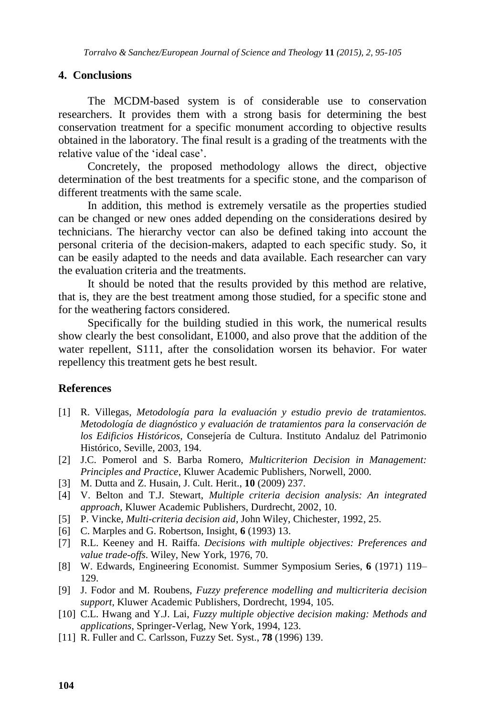#### **4. Conclusions**

The MCDM-based system is of considerable use to conservation researchers. It provides them with a strong basis for determining the best conservation treatment for a specific monument according to objective results obtained in the laboratory. The final result is a grading of the treatments with the relative value of the 'ideal case'.

Concretely, the proposed methodology allows the direct, objective determination of the best treatments for a specific stone, and the comparison of different treatments with the same scale.

In addition, this method is extremely versatile as the properties studied can be changed or new ones added depending on the considerations desired by technicians. The hierarchy vector can also be defined taking into account the personal criteria of the decision-makers, adapted to each specific study. So, it can be easily adapted to the needs and data available. Each researcher can vary the evaluation criteria and the treatments.

It should be noted that the results provided by this method are relative, that is, they are the best treatment among those studied, for a specific stone and for the weathering factors considered.

Specifically for the building studied in this work, the numerical results show clearly the best consolidant, E1000, and also prove that the addition of the water repellent, S111, after the consolidation worsen its behavior. For water repellency this treatment gets he best result.

#### **References**

- [1] R. Villegas, *Metodología para la evaluación y estudio previo de tratamientos. Metodología de diagnóstico y evaluación de tratamientos para la conservación de los Edificios Históricos*, Consejería de Cultura. Instituto Andaluz del Patrimonio Histórico, Seville, 2003, 194.
- [2] J.C. Pomerol and S. Barba Romero, *Multicriterion Decision in Management: Principles and Practice*, Kluwer Academic Publishers, Norwell, 2000.
- [3] M. Dutta and Z. Husain, J. Cult. Herit., **10** (2009) 237.
- [4] V. Belton and T.J. Stewart, *Multiple criteria decision analysis: An integrated approach*, Kluwer Academic Publishers, Durdrecht, 2002, 10.
- [5] P. Vincke, *Multi-criteria decision aid*, John Wiley, Chichester, 1992, 25.
- [6] C. Marples and G. Robertson, Insight, **6** (1993) 13.
- [7] R.L. Keeney and H. Raiffa. *Decisions with multiple objectives: Preferences and value trade-offs*. Wiley, New York, 1976, 70.
- [8] W. Edwards, Engineering Economist. Summer Symposium Series, **6** (1971) 119– 129.
- [9] J. Fodor and M. Roubens, *Fuzzy preference modelling and multicriteria decision support,* Kluwer Academic Publishers, Dordrecht, 1994, 105.
- [10] C.L. Hwang and Y.J. Lai, *Fuzzy multiple objective decision making: Methods and applications*, Springer-Verlag, New York, 1994, 123.
- [11] R. Fuller and C. Carlsson, Fuzzy Set. Syst., **78** (1996) 139.